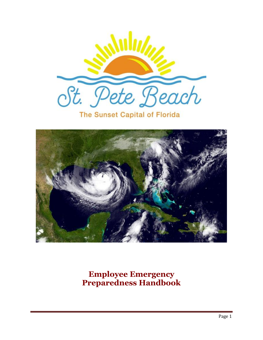

The Sunset Capital of Florida



**Employee Emergency Preparedness Handbook**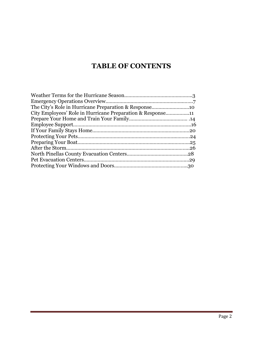# **TABLE OF CONTENTS**

| City Employees' Role in Hurricane Preparation & Response11 |  |
|------------------------------------------------------------|--|
|                                                            |  |
|                                                            |  |
|                                                            |  |
|                                                            |  |
|                                                            |  |
|                                                            |  |
|                                                            |  |
|                                                            |  |
|                                                            |  |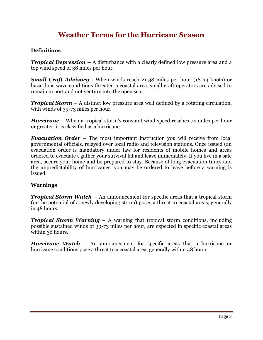# **Weather Terms for the Hurricane Season**

#### **Definitions**

*Tropical Depression –* A disturbance with a clearly defined low pressure area and a top wind speed of 38 miles per hour.

*Small Craft Advisory -* When winds reach-21-38 miles per hour (18-33 knots) or hazardous wave conditions threaten a coastal area, small craft operators are advised to remain in port and not venture into the open sea.

*Tropical Storm* – A distinct low pressure area well defined by a rotating circulation, with winds of 39-73 miles per hour.

*Hurricane* – When a tropical storm's constant wind speed reaches 74 miles per hour or greater, it is classified as a hurricane.

*Evacuation Order* – The most important instruction you will receive from local governmental officials, relayed over local radio and television stations. Once issued (an evacuation order is mandatory under law for residents of mobile homes and areas ordered to evacuate), gather your survival kit and leave immediately. If you live in a safe area, secure your home and be prepared to stay. Because of long evacuation times and the unpredictability of hurricanes, you may be ordered to leave before a warning is issued.

#### **Warnings**

*Tropical Storm Watch* **–** An announcement for specific areas that a tropical storm (or the potential of a newly developing storm) poses a threat to coastal areas, generally in 48 hours.

*Tropical Storm Warning* – A warning that tropical storm conditions, including possible sustained winds of 39-73 miles per hour, are expected in specific coastal areas within 36 hours.

*Hurricane Watch* – An announcement for specific areas that a hurricane or hurricane conditions pose a threat to a coastal area, generally within 48 hours.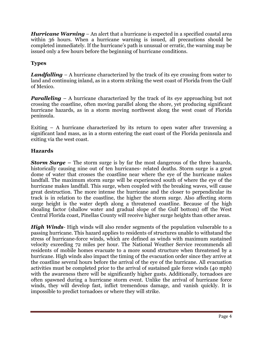*Hurricane Warning* – An alert that a hurricane is expected in a specified coastal area within 36 hours. When a hurricane warning is issued, all precautions should be completed immediately. If the hurricane's path is unusual or erratic, the warning may be issued only a few hours before the beginning of hurricane conditions.

### **Types**

*Landfalling* – A hurricane characterized by the track of its eye crossing from water to land and continuing inland, as in a storm striking the west coast of Florida from the Gulf of Mexico.

*Paralleling* – A hurricane characterized by the track of its eye approaching but not crossing the coastline, often moving parallel along the shore, yet producing significant hurricane hazards, as in a storm moving northwest along the west coast of Florida peninsula.

Exiting – A hurricane characterized by its return to open water after traversing a significant land mass, as in a storm entering the east coast of the Florida peninsula and exiting via the west coast.

#### **Hazards**

*Storm Surge –* The storm surge is by far the most dangerous of the three hazards, historically causing nine out of ten hurricanes- related deaths. Storm surge is a great dome of water that crosses the coastline near where the eye of the hurricane makes landfall. The maximum storm surge will be experienced south of where the eye of the hurricane makes landfall. This surge, when coupled with the breaking waves, will cause great destruction. The more intense the hurricane and the closer to perpendicular its track is in relation to the coastline, the higher the storm surge. Also affecting storm surge height is the water depth along a threatened coastline. Because of the high shoaling factor (shallow water and gradual slope of the Gulf bottom) off the West Central Florida coast, Pinellas County will receive higher surge heights than other areas.

*High Winds*- High winds will also render segments of the population vulnerable to a passing hurricane. This hazard applies to residents of structures unable to withstand the stress of hurricane-force winds, which are defined as winds with maximum sustained velocity exceeding 72 miles per hour. The National Weather Service recommends all residents of mobile homes evacuate to a more sound structure when threatened by a hurricane. High winds also impact the timing of the evacuation order since they arrive at the coastline several hours before the arrival of the eye of the hurricane. All evacuation activities must be completed prior to the arrival of sustained gale force winds (40 mph) with the awareness there will be significantly higher gusts. Additionally, tornadoes are often spawned during a hurricane storm event. Unlike the arrival of hurricane force winds, they will develop fast, inflict tremendous damage, and vanish quickly. It is impossible to predict tornadoes or where they will strike.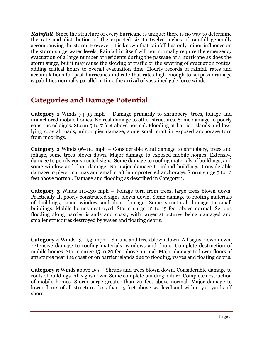*Rainfall*- Since the structure of every hurricane is unique; there is no way to determine the rate and distribution of the expected six to twelve inches of rainfall generally accompanying the storm. However, it is known that rainfall has only minor influence on the storm surge water levels. Rainfall in itself will not normally require the emergency evacuation of a large number of residents during the passage of a hurricane as does the storm surge, but it may cause the slowing of traffic or the severing of evacuation routes, adding critical hours to overall evacuation time. Hourly records of rainfall rates and accumulations for past hurricanes indicate that rates high enough to surpass drainage capabilities normally parallel in time the arrival of sustained gale force winds.

# **Categories and Damage Potential**

**Category 1** Winds 74-95 mph – Damage primarily to shrubbery, trees, foliage and unanchored mobile homes. No real damage to other structures. Some damage to poorly constructed signs. Storm 5 to 7 feet above normal. Flooding at barrier islands and lowlying coastal roads, minor pier damage, some small craft in exposed anchorage torn from moorings.

**Category 2** Winds 96-110 mph – Considerable wind damage to shrubbery, trees and foliage, some trees blown down. Major damage to exposed mobile homes. Extensive damage to poorly constructed signs. Some damage to roofing materials of buildings, and some window and door damage. No major damage to inland buildings. Considerable damage to piers, marinas and small craft in unprotected anchorage. Storm surge 7 to 12 feet above normal. Damage and flooding as described in Category 1.

**Category 3** Winds 111-130 mph – Foliage torn from trees, large trees blown down. Practically all poorly constructed signs blown down. Some damage to roofing materials of buildings, some window and door damage. Some structural damage to small buildings. Mobile homes destroyed. Storm surge 12 to 15 feet above normal. Serious flooding along barrier islands and coast, with larger structures being damaged and smaller structures destroyed by waves and floating debris.

**Category 4** Winds 131-155 mph – Shrubs and trees blown down. All signs blown down. Extensive damage to roofing materials, windows and doors. Complete destruction of mobile homes. Storm surge 15 to 20 feet above normal. Major damage to lower floors of structures near the coast or on barrier islands due to flooding, waves and floating debris.

**Category 5** Winds above 155 – Shrubs and trees blown down. Considerable damage to roofs of buildings. All signs down. Some complete building failure. Complete destruction of mobile homes. Storm surge greater than 20 feet above normal. Major damage to lower floors of all structures less than 15 feet above sea level and within 500 yards off shore.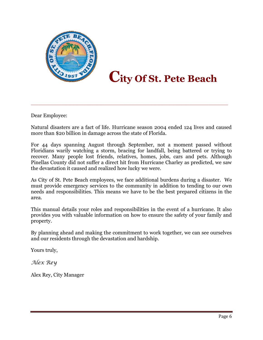

# **City Of St. Pete Beach**

Dear Employee:

Natural disasters are a fact of life. Hurricane season 2004 ended 124 lives and caused more than \$20 billion in damage across the state of Florida.

\_\_\_\_\_\_\_\_\_\_\_\_\_\_\_\_\_\_\_\_\_\_\_\_\_\_\_\_\_\_\_\_\_\_\_\_\_\_\_\_\_\_\_\_\_\_\_\_\_\_\_

For 44 days spanning August through September, not a moment passed without Floridians warily watching a storm, bracing for landfall, being battered or trying to recover. Many people lost friends, relatives, homes, jobs, cars and pets. Although Pinellas County did not suffer a direct hit from Hurricane Charley as predicted, we saw the devastation it caused and realized how lucky we were.

As City of St. Pete Beach employees, we face additional burdens during a disaster. We must provide emergency services to the community in addition to tending to our own needs and responsibilities. This means we have to be the best prepared citizens in the area.

This manual details your roles and responsibilities in the event of a hurricane. It also provides you with valuable information on how to ensure the safety of your family and property.

By planning ahead and making the commitment to work together, we can see ourselves and our residents through the devastation and hardship.

Yours truly,

*Alex Rey*

Alex Rey, City Manager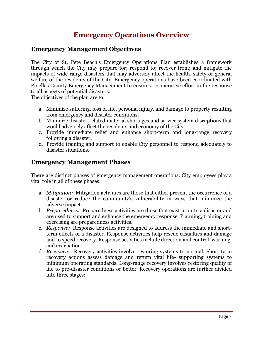# **Emergency Operations Overview**

# **Emergency Management Objectives**

The City of St. Pete Beach's Emergency Operations Plan establishes a framework through which the City may prepare for; respond to; recover from; and mitigate the impacts of wide range disasters that may adversely affect the health, safety or general welfare of the residents of the City. Emergency operations have been coordinated with Pinellas County Emergency Management to ensure a cooperative effort in the response to all aspects of potential disasters.

The objectives of the plan are to:

- a. Minimize suffering, loss of life, personal injury, and damage to property resulting from emergency and disaster conditions.
- b. Minimize disaster-related material shortages and service system disruptions that would adversely affect the residents and economy of the City.
- c. Provide immediate relief and enhance short-term and long-range recovery following a disaster.
- d. Provide training and support to enable City personnel to respond adequately to disaster situations.

# **Emergency Management Phases**

There are distinct phases of emergency management operations. City employees play a vital role in all of these phases:

- a. *Mitigation:* Mitigation activities are those that either prevent the occurrence of a disaster or reduce the community's vulnerability in ways that minimize the adverse impact.
- b. *Preparedness:* Preparedness activities are those that exist prior to a disaster and are used to support and enhance the emergency response. Planning, training and exercising are preparedness activities.
- c. *Response:* Response activities are designed to address the immediate and shortterm effects of a disaster. Response activities help rescue casualties and damage and to speed recovery. Response activities include direction and control, warning, and evacuation
- d. *Recovery:* Recovery activities involve restoring systems to normal. Short-term recovery actions assess damage and return vital life- supporting systems to minimum operating standards. Long-range recovery involves restoring quality of life to pre-disaster conditions or better. Recovery operations are further divided into three stages: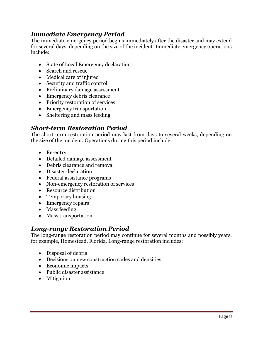# *Immediate Emergency Period*

The immediate emergency period begins immediately after the disaster and may extend for several days, depending on the size of the incident. Immediate emergency operations include:

- State of Local Emergency declaration
- Search and rescue
- Medical care of injured
- Security and traffic control
- Preliminary damage assessment
- Emergency debris clearance
- Priority restoration of services
- Emergency transportation
- Sheltering and mass feeding

# *Short-term Restoration Period*

The short-term restoration period may last from days to several weeks, depending on the size of the incident. Operations during this period include:

- Re-entry
- Detailed damage assessment
- Debris clearance and removal
- Disaster declaration
- Federal assistance programs
- Non-emergency restoration of services
- Resource distribution
- Temporary housing
- Emergency repairs
- Mass feeding
- Mass transportation

### *Long-range Restoration Period*

The long-range restoration period may continue for several months and possibly years, for example, Homestead, Florida. Long-range restoration includes:

- Disposal of debris
- Decisions on new construction codes and densities
- Economic impacts
- Public disaster assistance
- Mitigation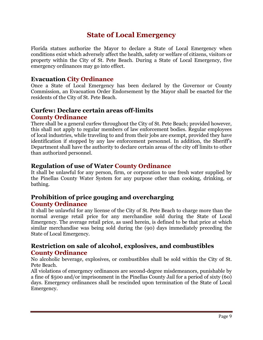# **State of Local Emergency**

Florida statues authorize the Mayor to declare a State of Local Emergency when conditions exist which adversely affect the health, safety or welfare of citizens, visitors or property within the City of St. Pete Beach. During a State of Local Emergency, five emergency ordinances may go into effect.

### **Evacuation City Ordinance**

Once a State of Local Emergency has been declared by the Governor or County Commission, an Evacuation Order Endorsement by the Mayor shall be enacted for the residents of the City of St. Pete Beach.

# **Curfew: Declare certain areas off-limits County Ordinance**

There shall be a general curfew throughout the City of St. Pete Beach; provided however, this shall not apply to regular members of law enforcement bodies. Regular employees of local industries, while traveling to and from their jobs are exempt, provided they have identification if stopped by any law enforcement personnel. In addition, the Sheriff's Department shall have the authority to declare certain areas of the city off limits to other than authorized personnel.

# **Regulation of use of Water County Ordinance**

It shall be unlawful for any person, firm, or corporation to use fresh water supplied by the Pinellas County Water System for any purpose other than cooking, drinking, or bathing.

# **Prohibition of price gouging and overcharging County Ordinance**

It shall be unlawful for any license of the City of St. Pete Beach to charge more than the normal average retail price for any merchandise sold during the State of Local Emergency. The average retail price, as used herein, is defined to be that price at which similar merchandise was being sold during the (90) days immediately preceding the State of Local Emergency.

# **Restriction on sale of alcohol, explosives, and combustibles County Ordinance**

No alcoholic beverage, explosives, or combustibles shall be sold within the City of St. Pete Beach.

All violations of emergency ordinances are second-degree misdemeanors, punishable by a fine of \$500 and/or imprisonment in the Pinellas County Jail for a period of sixty (60) days. Emergency ordinances shall be rescinded upon termination of the State of Local Emergency.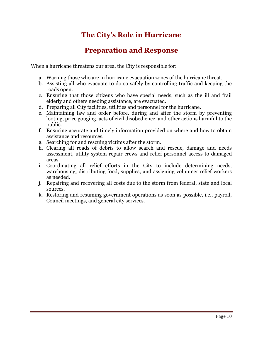# **The City's Role in Hurricane**

# **Preparation and Response**

When a hurricane threatens our area, the City is responsible for:

- a. Warning those who are in hurricane evacuation zones of the hurricane threat.
- b. Assisting all who evacuate to do so safely by controlling traffic and keeping the roads open.
- c. Ensuring that those citizens who have special needs, such as the ill and frail elderly and others needing assistance, are evacuated.
- d. Preparing all City facilities, utilities and personnel for the hurricane.
- e. Maintaining law and order before, during and after the storm by preventing looting, price gouging, acts of civil disobedience, and other actions harmful to the public.
- f. Ensuring accurate and timely information provided on where and how to obtain assistance and resources.
- g. Searching for and rescuing victims after the storm.
- h. Clearing all roads of debris to allow search and rescue, damage and needs assessment, utility system repair crews and relief personnel access to damaged areas.
- i. Coordinating all relief efforts in the City to include determining needs, warehousing, distributing food, supplies, and assigning volunteer relief workers as needed.
- j. Repairing and recovering all costs due to the storm from federal, state and local sources.
- k. Restoring and resuming government operations as soon as possible, i.e., payroll, Council meetings, and general city services.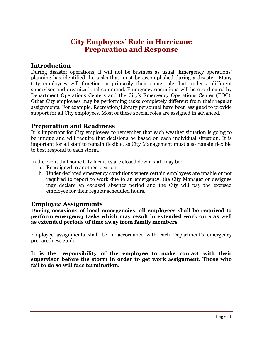# **City Employees' Role in Hurricane Preparation and Response**

# **Introduction**

During disaster operations, it will not be business as usual. Emergency operations' planning has identified the tasks that must be accomplished during a disaster. Many City employees will function in primarily their same role, but under a different supervisor and organizational command. Emergency operations will be coordinated by Department Operations Centers and the City's Emergency Operations Center (EOC). Other City employees may be performing tasks completely different from their regular assignments. For example, Recreation/Library personnel have been assigned to provide support for all City employees. Most of these special roles are assigned in advanced.

# **Preparation and Readiness**

It is important for City employees to remember that each weather situation is going to be unique and will require that decisions be based on each individual situation. It is important for all staff to remain flexible, as City Management must also remain flexible to best respond to each storm.

In the event that some City facilities are closed down, staff may be:

- a. Reassigned to another location.
- b. Under declared emergency conditions where certain employees are unable or not required to report to work due to an emergency, the City Manager or designee may declare an excused absence period and the City will pay the excused employee for their regular scheduled hours.

### **Employee Assignments**

**During occasions of local emergencies, all employees shall be required to perform emergency tasks which may result in extended work ours as well as extended periods of time away from family members**

Employee assignments shall be in accordance with each Department's emergency preparedness guide.

**It is the responsibility of the employee to make contact with their supervisor before the storm in order to get work assignment. Those who fail to do so will face termination.**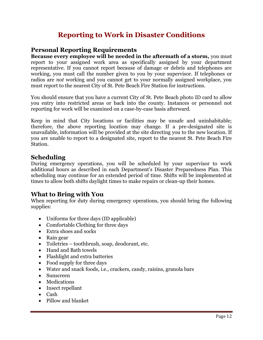# **Reporting to Work in Disaster Conditions**

# **Personal Reporting Requirements**

**Because every employee will be needed in the aftermath of a storm,** you must report to your assigned work area as specifically assigned by your department representative. If you cannot report because of damage or debris and telephones are working, you must call the number given to you by your supervisor. If telephones or radios are *not* working and you cannot get to your normally assigned workplace, you must report to the nearest City of St. Pete Beach Fire Station for instructions.

You should ensure that you have a current City of St. Pete Beach photo ID card to allow you entry into restricted areas or back into the county. Instances or personnel not reporting for work will be examined on a case-by-case basis afterward.

Keep in mind that City locations or facilities may be unsafe and uninhabitable; therefore, the above reporting location may change. If a pre-designated site is unavailable, information will be provided at the site directing you to the new location. If you are unable to report to a designated site, report to the nearest St. Pete Beach Fire Station.

### **Scheduling**

During emergency operations, you will be scheduled by your supervisor to work additional hours as described in each Department's Disaster Preparedness Plan. This scheduling may continue for an extended period of time. Shifts will be implemented at times to allow both shifts daylight times to make repairs or clean-up their homes.

# **What to Bring with You**

When reporting for duty during emergency operations, you should bring the following supplies:

- Uniforms for three days (ID applicable)
- Comfortable Clothing for three days
- Extra shoes and socks
- Rain gear
- Toiletries toothbrush, soap, deodorant, etc.
- Hand and Bath towels
- Flashlight and extra batteries
- Food supply for three days
- Water and snack foods, i.e., crackers, candy, raisins, granola bars
- Sunscreen
- Medications
- Insect repellant
- Cash
- Pillow and blanket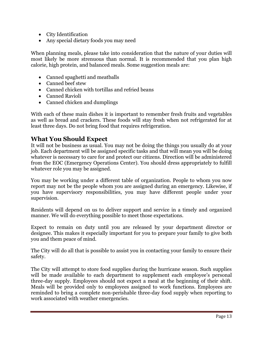- City Identification
- Any special dietary foods you may need

When planning meals, please take into consideration that the nature of your duties will most likely be more strenuous than normal. It is recommended that you plan high calorie, high protein, and balanced meals. Some suggestion meals are:

- Canned spaghetti and meatballs
- Canned beef stew
- Canned chicken with tortillas and refried beans
- Canned Ravioli
- Canned chicken and dumplings

With each of these main dishes it is important to remember fresh fruits and vegetables as well as bread and crackers. These foods will stay fresh when not refrigerated for at least three days. Do not bring food that requires refrigeration.

# **What You Should Expect**

It will not be business as usual. You may not be doing the things you usually do at your job. Each department will be assigned specific tasks and that will mean you will be doing whatever is necessary to care for and protect our citizens. Direction will be administered from the EOC (Emergency Operations Center). You should dress appropriately to fulfill whatever role you may be assigned.

You may be working under a different table of organization. People to whom you now report may not be the people whom you are assigned during an emergency. Likewise, if you have supervisory responsibilities, you may have different people under your supervision.

Residents will depend on us to deliver support and service in a timely and organized manner. We will do everything possible to meet those expectations.

Expect to remain on duty until you are released by your department director or designee. This makes it especially important for you to prepare your family to give both you and them peace of mind.

The City will do all that is possible to assist you in contacting your family to ensure their safety.

The City will attempt to store food supplies during the hurricane season. Such supplies will be made available to each department to supplement each employee's personal three-day supply. Employees should not expect a meal at the beginning of their shift. Meals will be provided only to employees assigned to work functions. Employees are reminded to bring a complete non-perishable three-day food supply when reporting to work associated with weather emergencies.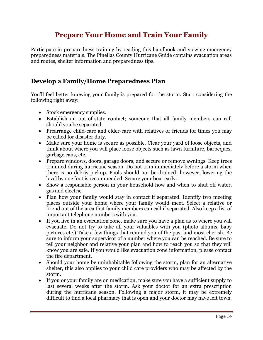# **Prepare Your Home and Train Your Family**

Participate in preparedness training by reading this handbook and viewing emergency preparedness materials. The Pinellas County Hurricane Guide contains evacuation areas and routes, shelter information and preparedness tips.

# **Develop a Family/Home Preparedness Plan**

You'll feel better knowing your family is prepared for the storm. Start considering the following right away:

- Stock emergency supplies.
- Establish an out-of-state contact; someone that all family members can call should you be separated.
- Prearrange child-care and elder-care with relatives or friends for times you may be called for disaster duty.
- Make sure your home is secure as possible. Clear your yard of loose objects, and think about where you will place loose objects such as lawn furniture, barbeques, garbage cans, etc.
- Prepare windows, doors, garage doors, and secure or remove awnings. Keep trees trimmed during hurricane season. Do not trim immediately before a storm when there is no debris pickup. Pools should not be drained; however, lowering the level by one foot is recommended. Secure your boat early.
- Show a responsible person in your household how and when to shut off water, gas and electric.
- Plan how your family would stay in contact if separated. Identify two meeting places outside your home where your family would meet. Select a relative or friend out of the area that family members can call if separated. Also keep a list of important telephone numbers with you.
- If you live in an evacuation zone, make sure you have a plan as to where you will evacuate. Do not try to take all your valuables with you (photo albums, baby pictures etc.) Take a few things that remind you of the past and most cherish. Be sure to inform your supervisor of a number where you can be reached. Be sure to tell your neighbor and relative your plan and how to reach you so that they will know you are safe. If you would like evacuation zone information, please contact the fire department.
- Should your home be uninhabitable following the storm, plan for an alternative shelter, this also applies to your child care providers who may be affected by the storm.
- If you or your family are on medication, make sure you have a sufficient supply to last several weeks after the storm. Ask your doctor for an extra prescription during the hurricane season. Following a major storm, it may be extremely difficult to find a local pharmacy that is open and your doctor may have left town.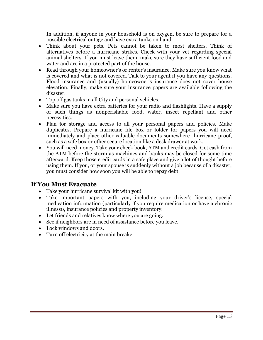In addition, if anyone in your household is on oxygen, be sure to prepare for a possible electrical outage and have extra tanks on hand.

- Think about your pets. Pets cannot be taken to most shelters. Think of alternatives before a hurricane strikes. Check with your vet regarding special animal shelters. If you must leave them, make sure they have sufficient food and water and are in a protected part of the house.
- Read through your homeowner's or renter's insurance. Make sure you know what is covered and what is not covered. Talk to your agent if you have any questions. Flood insurance and (usually) homeowner's insurance does not cover house elevation. Finally, make sure your insurance papers are available following the disaster.
- Top off gas tanks in all City and personal vehicles.
- Make sure you have extra batteries for your radio and flashlights. Have a supply of such things as nonperishable food, water, insect repellant and other necessities.
- Plan for storage and access to all your personal papers and policies. Make duplicates. Prepare a hurricane file box or folder for papers you will need immediately and place other valuable documents somewhere hurricane proof, such as a safe box or other secure location like a desk drawer at work.
- You will need money. Take your check book, ATM and credit cards. Get cash from the ATM before the storm as machines and banks may be closed for some time afterward. Keep those credit cards in a safe place and give a lot of thought before using them. If you, or your spouse is suddenly without a job because of a disaster, you must consider how soon you will be able to repay debt.

# **If You Must Evacuate**

- Take your hurricane survival kit with you!
- Take important papers with you, including your driver's license, special medication information (particularly if you require medication or have a chronic illness0, insurance policies and property inventory.
- Let friends and relatives know where you are going.
- See if neighbors are in need of assistance before you leave.
- Lock windows and doors.
- Turn off electricity at the main breaker.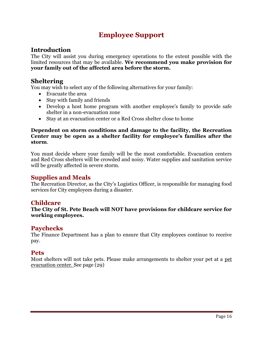# **Employee Support**

# **Introduction**

The City will assist you during emergency operations to the extent possible with the limited resources that may be available. **We recommend you make provision for your family out of the affected area before the storm.**

### **Sheltering**

You may wish to select any of the following alternatives for your family:

- Evacuate the area
- Stay with family and friends
- Develop a host home program with another employee's family to provide safe shelter in a non-evacuation zone
- Stay at an evacuation center or a Red Cross shelter close to home

#### **Dependent on storm conditions and damage to the facility, the Recreation Center may be open as a shelter facility for employee's families after the storm**.

You must decide where your family will be the most comfortable. Evacuation centers and Red Cross shelters will be crowded and noisy. Water supplies and sanitation service will be greatly affected in severe storm.

### **Supplies and Meals**

The Recreation Director, as the City's Logistics Officer, is responsible for managing food services for City employees during a disaster.

### **Childcare**

**The City of St. Pete Beach will NOT have provisions for childcare service for working employees.** 

### **Paychecks**

The Finance Department has a plan to ensure that City employees continue to receive pay.

### **Pets**

Most shelters will not take pets. Please make arrangements to shelter your pet at a pet evacuation center. See page (29)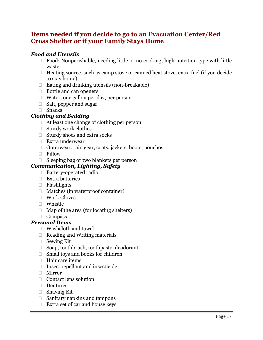# **Items needed if you decide to go to an Evacuation Center/Red Cross Shelter or if your Family Stays Home**

### *Food and Utensils*

- $\Box$  Food: Nonperishable, needing little or no cooking; high nutrition type with little waste
- $\Box$  Heating source, such as camp stove or canned heat stove, extra fuel (if you decide to stay home)
- $\Box$  Eating and drinking utensils (non-breakable)
- $\Box$  Bottle and can openers
- $\Box$  Water, one gallon per day, per person
- $\Box$  Salt, pepper and sugar
- Snacks

#### *Clothing and Bedding*

- $\Box$  At least one change of clothing per person
- $\Box$  Sturdy work clothes
- $\Box$  Sturdy shoes and extra socks
- Extra underwear
- $\Box$  Outerwear: rain gear, coats, jackets, boots, ponchos
- Pillow
- Sleeping bag or two blankets per person

#### *Communication, Lighting, Safety*

- □ Battery-operated radio
- $\Box$  Extra batteries
- □ Flashlights
- $\Box$  Matches (in waterproof container)
- Work Gloves
- □ Whistle
- $\Box$  Map of the area (for locating shelters)
- Compass

#### *Personal Items*

- Washcloth and towel
- $\Box$  Reading and Writing materials
- □ Sewing Kit
- □ Soap, toothbrush, toothpaste, deodorant
- $\Box$  Small toys and books for children
- $\Box$  Hair care items
- $\Box$  Insect repellant and insecticide
- Mirror
- Contact lens solution
- $\Box$  Dentures
- □ Shaving Kit
- $\Box$  Sanitary napkins and tampons
- $\Box$  Extra set of car and house keys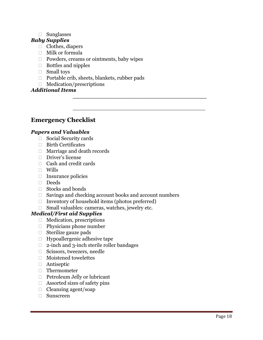#### □ Sunglasses

#### *Baby Supplies*

- $\Box$  Clothes, diapers
- Milk or formula
- $\Box$  Powders, creams or ointments, baby wipes
- Bottles and nipples
- □ Small toys
- $\Box$  Portable crib, sheets, blankets, rubber pads
- $\Box$  Medication/prescriptions

#### *Additional Items*

# **Emergency Checklist**

#### *Papers and Valuables*

- Social Security cards
- □ Birth Certificates
- □ Marriage and death records
- □ Driver's license
- Cash and credit cards
- Wills
- $\Box$  Insurance policies
- □ Deeds
- □ Stocks and bonds
- $\Box$  Savings and checking account books and account numbers

**\_\_\_\_\_\_\_\_\_\_\_\_\_\_\_\_\_\_\_\_\_\_\_\_\_\_\_\_\_\_\_\_\_\_\_\_\_**

\_\_\_\_\_\_\_\_\_\_\_\_\_\_\_\_\_\_\_\_\_\_\_\_\_\_\_\_\_\_\_\_\_\_\_\_\_\_\_\_

- $\Box$  Inventory of household items (photos preferred)
- $\Box$  Small valuables: cameras, watches, jewelry etc.

#### *Medical/First aid Supplies*

- □ Medication, prescriptions
- $\Box$  Physicians phone number
- $\Box$  Sterilize gauze pads
- $\Box$  Hypoallergenic adhesive tape
- □ 2-inch and 3-inch sterile roller bandages
- □ Scissors, tweezers, needle
- Moistened towelettes
- Antiseptic
- □ Thermometer
- Petroleum Jelly or lubricant
- $\Box$  Assorted sizes of safety pins
- $\Box$  Cleansing agent/soap
- Sunscreen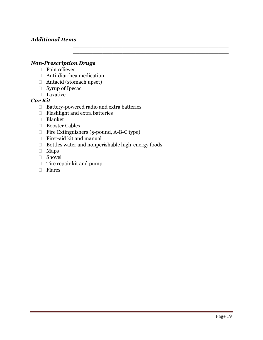#### *Additional Items*

#### *Non-Prescription Drugs*

- □ Pain reliever
- Anti-diarrhea medication
- Antacid (stomach upset)
- □ Syrup of Ipecac
- Laxative

#### *Car Kit*

- $\Box$  Battery-powered radio and extra batteries
- □ Flashlight and extra batteries
- Blanket
- □ Booster Cables
- Fire Extinguishers (5-pound, A-B-C type)
- First-aid kit and manual
- Bottles water and nonperishable high-energy foods

\_\_\_\_\_\_\_\_\_\_\_\_\_\_\_\_\_\_\_\_\_\_\_\_\_\_\_\_\_\_\_\_\_\_\_\_\_\_\_\_\_\_\_\_\_\_\_ \_\_\_\_\_\_\_\_\_\_\_\_\_\_\_\_\_\_\_\_\_\_\_\_\_\_\_\_\_\_\_\_\_\_\_\_\_\_\_\_\_\_\_\_\_\_\_

- Maps
- Shovel
- $\Box$  Tire repair kit and pump
- Flares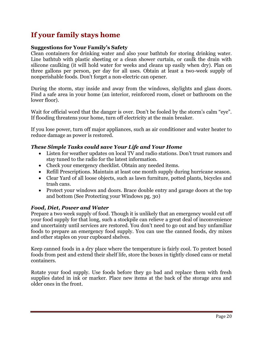# **If your family stays home**

#### **Suggestions for Your Family's Safety**

Clean containers for drinking water and also your bathtub for storing drinking water. Line bathtub with plastic sheeting or a clean shower curtain, or caulk the drain with silicone caulking (it will hold water for weeks and cleans up easily when dry). Plan on three gallons per person, per day for all uses. Obtain at least a two-week supply of nonperishable foods. Don't forget a non-electric can opener.

During the storm, stay inside and away from the windows, skylights and glass doors. Find a safe area in your home (an interior, reinforced room, closet or bathroom on the lower floor).

Wait for official word that the danger is over. Don't be fooled by the storm's calm "eye". If flooding threatens your home, turn off electricity at the main breaker.

If you lose power, turn off major appliances, such as air conditioner and water heater to reduce damage as power is restored.

#### *These Simple Tasks could save Your Life and Your Home*

- Listen for weather updates on local TV and radio stations. Don't trust rumors and stay tuned to the radio for the latest information.
- Check your emergency checklist. Obtain any needed items.
- Refill Prescriptions. Maintain at least one month supply during hurricane season.
- Clear Yard of all loose objects, such as lawn furniture, potted plants, bicycles and trash cans.
- Protect your windows and doors. Brace double entry and garage doors at the top and bottom (See Protecting your Windows pg. 30)

#### *Food, Diet, Power and Water*

Prepare a two week supply of food. Though it is unlikely that an emergency would cut off your food supply for that long, such a stockpile can relieve a great deal of inconvenience and uncertainty until services are restored. You don't need to go out and buy unfamiliar foods to prepare an emergency food supply. You can use the canned foods, dry mixes and other staples on your cupboard shelves.

Keep canned foods in a dry place where the temperature is fairly cool. To protect boxed foods from pest and extend their shelf life, store the boxes in tightly closed cans or metal containers.

Rotate your food supply. Use foods before they go bad and replace them with fresh supplies dated in ink or marker. Place new items at the back of the storage area and older ones in the front.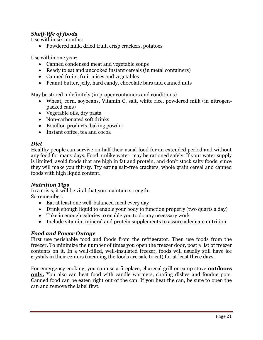# *Shelf-life of foods*

Use within six months:

• Powdered milk, dried fruit, crisp crackers, potatoes

Use within one year:

- Canned condensed meat and vegetable soups
- Ready to eat and uncooked instant cereals (in metal containers)
- Canned fruits, fruit juices and vegetables
- Peanut butter, jelly, hard candy, chocolate bars and canned nuts

May be stored indefinitely (in proper containers and conditions)

- Wheat, corn, soybeans, Vitamin C, salt, white rice, powdered milk (in nitrogenpacked cans)
- Vegetable oils, dry pasta
- Non-carbonated soft drinks
- Bouillon products, baking powder
- Instant coffee, tea and cocoa

#### *Diet*

Healthy people can survive on half their usual food for an extended period and without any food for many days. Food, unlike water, may be rationed safely. If your water supply is limited, avoid foods that are high in fat and protein, and don't stock salty foods, since they will make you thirsty. Try eating salt-free crackers, whole grain cereal and canned foods with high liquid content.

#### *Nutrition Tips*

In a crisis, it will be vital that you maintain strength. So remember:

- Eat at least one well-balanced meal every day
- Drink enough liquid to enable your body to function properly (two quarts a day)
- Take in enough calories to enable you to do any necessary work
- Include vitamin, mineral and protein supplements to assure adequate nutrition

#### *Food and Power Outage*

First use perishable food and foods from the refrigerator. Then use foods from the freezer. To minimize the number of times you open the freezer door, post a list of freezer contents on it. In a well-filled, well-insulated freezer, foods will usually still have ice crystals in their centers (meaning the foods are safe to eat) for at least three days.

For emergency cooking, you can use a fireplace, charcoal grill or camp stove **outdoors only.** You also can heat food with candle warmers, chafing dishes and fondue pots. Canned food can be eaten right out of the can. If you heat the can, be sure to open the can and remove the label first.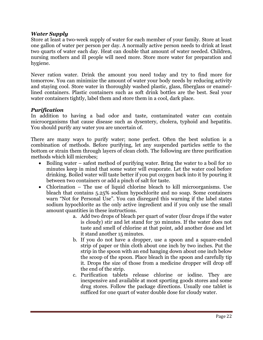#### *Water Supply*

Store at least a two-week supply of water for each member of your family. Store at least one gallon of water per person per day. A normally active person needs to drink at least two quarts of water each day. Heat can double that amount of water needed. Children, nursing mothers and ill people will need more. Store more water for preparation and hygiene.

Never ration water. Drink the amount you need today and try to find more for tomorrow. You can minimize the amount of water your body needs by reducing activity and staying cool. Store water in thoroughly washed plastic, glass, fiberglass or enamellined containers. Plastic containers such as soft drink bottles are the best. Seal your water containers tightly, label them and store them in a cool, dark place.

#### *Purification*

In addition to having a bad odor and taste, contaminated water can contain microorganisms that cause disease such as dysentery, cholera, typhoid and hepatitis. You should purify any water you are uncertain of.

There are many ways to purify water; none perfect. Often the best solution is a combination of methods. Before purifying, let any suspended particles settle to the bottom or strain them through layers of clean cloth. The following are three purification methods which kill microbes;

- Boiling water safest method of purifying water. Bring the water to a boil for 10 minutes keep in mind that some water will evaporate. Let the water cool before drinking. Boiled water will taste better if you put oxygen back into it by pouring it between two containers or add a pinch of salt for taste.
- Chlorination The use of liquid chlorine bleach to kill microorganisms. Use bleach that contains 5.25% sodium hypochlorite and no soap. Some containers warn "Not for Personal Use". You can disregard this warning if the label states sodium hypochlorite as the only active ingredient and if you only use the small amount quantities in these instructions.
	- a. Add two drops of bleach per quart of water (four drops if the water is cloudy) stir and let stand for 30 minutes. If the water does not taste and smell of chlorine at that point, add another dose and let it stand another 15 minutes.
	- b. If you do not have a dropper, use a spoon and a square-ended strip of paper or thin cloth about one inch by two inches. Put the strip in the spoon with an end hanging down about one inch below the scoop of the spoon. Place bleach in the spoon and carefully tip it. Drops the size of those from a medicine dropper will drop off the end of the strip.
	- c. Purification tablets release chlorine or iodine. They are inexpensive and available at most sporting goods stores and some drug stores. Follow the package directions. Usually one tablet is sufficed for one quart of water double dose for cloudy water.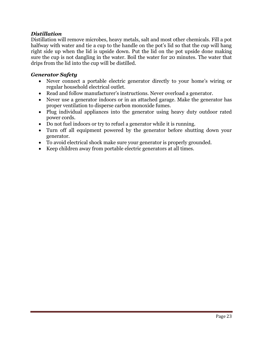#### *Distillation*

Distillation will remove microbes, heavy metals, salt and most other chemicals. Fill a pot halfway with water and tie a cup to the handle on the pot's lid so that the cup will hang right side up when the lid is upside down. Put the lid on the pot upside done making sure the cup is not dangling in the water. Boil the water for 20 minutes. The water that drips from the lid into the cup will be distilled.

#### *Generator Safety*

- Never connect a portable electric generator directly to your home's wiring or regular household electrical outlet.
- Read and follow manufacturer's instructions. Never overload a generator.
- Never use a generator indoors or in an attached garage. Make the generator has proper ventilation to disperse carbon monoxide fumes.
- Plug individual appliances into the generator using heavy duty outdoor rated power cords.
- Do not fuel indoors or try to refuel a generator while it is running.
- Turn off all equipment powered by the generator before shutting down your generator.
- To avoid electrical shock make sure your generator is properly grounded.
- Keep children away from portable electric generators at all times.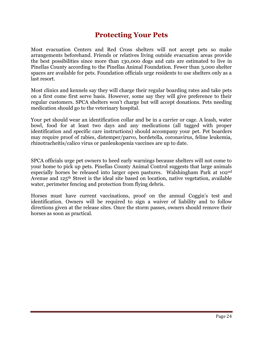# **Protecting Your Pets**

Most evacuation Centers and Red Cross shelters will not accept pets so make arrangements beforehand. Friends or relatives living outside evacuation areas provide the best possibilities since more than 130,000 dogs and cats are estimated to live in Pinellas County according to the Pinellas Animal Foundation. Fewer than 3,000 shelter spaces are available for pets. Foundation officials urge residents to use shelters only as a last resort.

Most clinics and kennels say they will charge their regular boarding rates and take pets on a first come first serve basis. However, some say they will give preference to their regular customers. SPCA shelters won't charge but will accept donations. Pets needing medication should go to the veterinary hospital.

Your pet should wear an identification collar and be in a carrier or cage. A leash, water bowl, food for at least two days and any medications (all tagged with proper identification and specific care instructions) should accompany your pet. Pet boarders may require proof of rabies, distemper/parvo, bordetella, coronavirus, feline leukemia, rhinotracheitis/calico virus or panleukopenia vaccines are up to date.

SPCA officials urge pet owners to heed early warnings because shelters will not come to your home to pick up pets. Pinellas County Animal Control suggests that large animals especially horses be released into larger open pastures. Walshingham Park at 102nd Avenue and 125th Street is the ideal site based on location, native vegetation, available water, perimeter fencing and protection from flying debris.

Horses must have current vaccinations, proof on the annual Coggin's test and identification. Owners will be required to sign a waiver of liability and to follow directions given at the release sites. Once the storm passes, owners should remove their horses as soon as practical.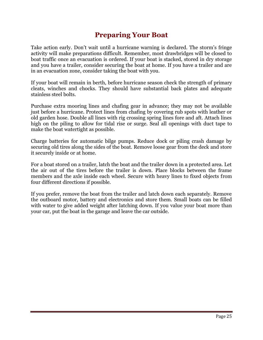# **Preparing Your Boat**

Take action early. Don't wait until a hurricane warning is declared. The storm's fringe activity will make preparations difficult. Remember, most drawbridges will be closed to boat traffic once an evacuation is ordered. If your boat is stacked, stored in dry storage and you have a trailer, consider securing the boat at home. If you have a trailer and are in an evacuation zone, consider taking the boat with you.

If your boat will remain in berth, before hurricane season check the strength of primary cleats, winches and chocks. They should have substantial back plates and adequate stainless steel bolts.

Purchase extra mooring lines and chafing gear in advance; they may not be available just before a hurricane. Protect lines from chafing by covering rub spots with leather or old garden hose. Double all lines with rig crossing spring lines fore and aft. Attach lines high on the piling to allow for tidal rise or surge. Seal all openings with duct tape to make the boat watertight as possible.

Charge batteries for automatic bilge pumps. Reduce dock or piling crash damage by securing old tires along the sides of the boat. Remove loose gear from the deck and store it securely inside or at home.

For a boat stored on a trailer, latch the boat and the trailer down in a protected area. Let the air out of the tires before the trailer is down. Place blocks between the frame members and the axle inside each wheel. Secure with heavy lines to fixed objects from four different directions if possible.

If you prefer, remove the boat from the trailer and latch down each separately. Remove the outboard motor, battery and electronics and store them. Small boats can be filled with water to give added weight after latching down. If you value your boat more than your car, put the boat in the garage and leave the car outside.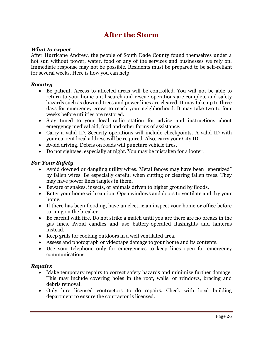# **After the Storm**

#### *What to expect*

After Hurricane Andrew, the people of South Dade County found themselves under a hot sun without power, water, food or any of the services and businesses we rely on. Immediate response may not be possible. Residents must be prepared to be self-reliant for several weeks. Here is how you can help:

#### *Reentry*

- Be patient. Access to affected areas will be controlled. You will not be able to return to your home until search and rescue operations are complete and safety hazards such as downed trees and power lines are cleared. It may take up to three days for emergency crews to reach your neighborhood. It may take two to four weeks before utilities are restored.
- Stay tuned to your local radio station for advice and instructions about emergency medical aid, food and other forms of assistance.
- Carry a valid ID. Security operations will include checkpoints. A valid ID with your current local address will be required. Also, carry your City ID.
- Avoid driving. Debris on roads will puncture vehicle tires.
- Do not sightsee, especially at night. You may be mistaken for a looter.

#### *For Your Safety*

- Avoid downed or dangling utility wires. Metal fences may have been "energized" by fallen wires. Be especially careful when cutting or clearing fallen trees. They may have power lines tangles in them.
- Beware of snakes, insects, or animals driven to higher ground by floods.
- Enter your home with caution. Open windows and doors to ventilate and dry your home.
- If there has been flooding, have an electrician inspect your home or office before turning on the breaker.
- Be careful with fire. Do not strike a match until you are there are no breaks in the gas lines. Avoid candles and use battery-operated flashlights and lanterns instead.
- Keep grills for cooking outdoors in a well ventilated area.
- Assess and photograph or videotape damage to your home and its contents.
- Use your telephone only for emergencies to keep lines open for emergency communications.

#### *Repairs*

- Make temporary repairs to correct safety hazards and minimize further damage. This may include covering holes in the roof, walls, or windows, bracing and debris removal.
- Only hire licensed contractors to do repairs. Check with local building department to ensure the contractor is licensed.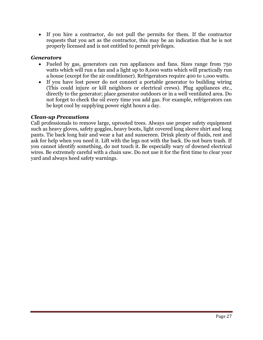• If you hire a contractor, do not pull the permits for them. If the contractor requests that you act as the contractor, this may be an indication that he is not properly licensed and is not entitled to permit privileges.

#### *Generators*

- Fueled by gas, generators can run appliances and fans. Sizes range from 750 watts which will run a fan and a light up to 8,000 watts which will practically run a house (except for the air conditioner). Refrigerators require 400 to 1,ooo watts.
- If you have lost power do not connect a portable generator to building wiring (This could injure or kill neighbors or electrical crews). Plug appliances etc., directly to the generator; place generator outdoors or in a well ventilated area. Do not forget to check the oil every time you add gas. For example, refrigerators can be kept cool by supplying power eight hours a day.

#### *Clean-up Precautions*

Call professionals to remove large, uprooted trees. Always use proper safety equipment such as heavy gloves, safety goggles, heavy boots, light covered long sleeve shirt and long pants. Tie back long hair and wear a hat and sunscreen. Drink plenty of fluids, rest and ask for help when you need it. Lift with the legs not with the back. Do not burn trash. If you cannot identify something, do not touch it. Be especially wary of downed electrical wires. Be extremely careful with a chain saw. Do not use it for the first time to clear your yard and always heed safety warnings.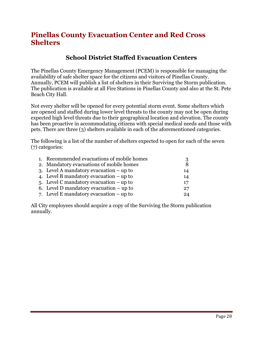# **Pinellas County Evacuation Center and Red Cross Shelters**

# **School District Staffed Evacuation Centers**

The Pinellas County Emergency Management (PCEM) is responsible for managing the availability of safe shelter space for the citizens and visitors of Pinellas County. Annually, PCEM will publish a list of shelters in their Surviving the Storm publication. The publication is available at all Fire Stations in Pinellas County and also at the St. Pete Beach City Hall.

Not every shelter will be opened for every potential storm event. Some shelters which are opened and staffed during lower level threats to the county may not be open during expected high level threats due to their geographical location and elevation. The county has been proactive in accommodating citizens with special medical needs and those with pets. There are three (3) shelters available in each of the aforementioned categories.

The following is a list of the number of shelters expected to open for each of the seven (7) categories:

| 1. Recommended evacuations of mobile homes | 3  |
|--------------------------------------------|----|
| 2. Mandatory evacuations of mobile homes   | 8  |
| 3. Level A mandatory evacuation $-\mu$ to  | 14 |
| 4. Level B mandatory evacuation $-\mu$ to  | 14 |
| 5. Level C mandatory evacuation $-$ up to  | 17 |
| 6. Level D mandatory evacuation $-$ up to  | 27 |
| 7. Level E mandatory evacuation $-\mu$ to  | 24 |

All City employees should acquire a copy of the Surviving the Storm publication annually.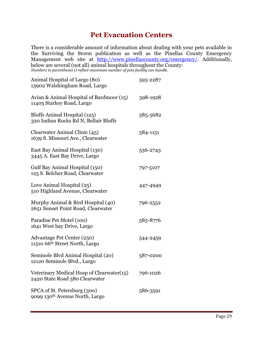# **Pet Evacuation Centers**

There is a considerable amount of information about dealing with your pets available in the Surviving the Storm publication as well as the Pinellas County Emergency Management web site at [http://www.pinellascounty.org/emergency/.](http://www.pinellascounty.org/emergency/) Additionally, below are several (not all) animal hospitals throughout the County: *Numbers in parentheses () reflect maximum number of pets facility can handle.*

| Animal Hospital of Largo (80)<br>13902 Walshingham Road, Largo              | 595-2287 |
|-----------------------------------------------------------------------------|----------|
| Avian & Animal Hospital of Bardmoor (15)<br>11405 Starkey Road, Largo       | 398-1928 |
| Bluffs Animal Hospital (125)<br>320 Indian Rocks Rd N, Bellair Bluffs       | 585-5682 |
| Clearwater Animal Clinic (45)<br>1639 S. Missouri Ave., Clearwater          | 584-1151 |
| East Bay Animal Hospital (130)<br>3445 A. East Bay Drive, Largo             | 536-2743 |
| Gulf Bay Animal Hospital (150)<br>125 S. Belcher Road, Clearwater           | 797-5107 |
| Love Animal Hospital (25)<br>510 Highland Avenue, Clearwater                | 447-4949 |
| Murphy Animal & Bird Hospital (40)<br>2651 Sunset Point Road, Clearwater    | 796-2552 |
| Paradise Pet Motel (100)<br>1641 West bay Drive, Largo                      | 585-8776 |
| Advantage Pet Center (250)<br>11510 66 <sup>th</sup> Street North, Largo    | 544-2459 |
| Seminole Blvd Animal Hospital (20)<br>12120 Seminole Blvd., Largo           | 587-0200 |
| Veterinary Medical Hosp of Clearwater(15)<br>2420 State Road 580 Clearwater | 796-1026 |
| SPCA of St. Petersburg (300)<br>9099 130 <sup>th</sup> Avenue North, Largo  | 586-3591 |